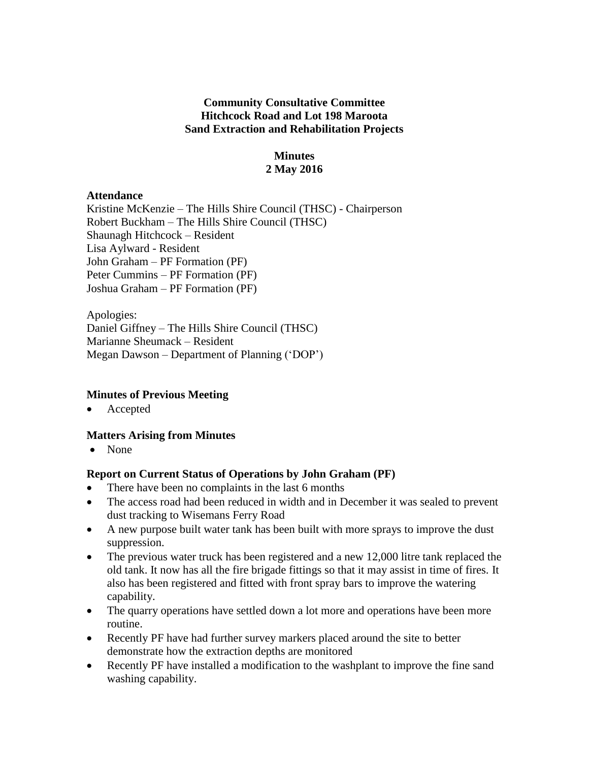# **Community Consultative Committee Hitchcock Road and Lot 198 Maroota Sand Extraction and Rehabilitation Projects**

# **Minutes 2 May 2016**

#### **Attendance**

Kristine McKenzie – The Hills Shire Council (THSC) - Chairperson Robert Buckham – The Hills Shire Council (THSC) Shaunagh Hitchcock – Resident Lisa Aylward - Resident John Graham – PF Formation (PF) Peter Cummins – PF Formation (PF) Joshua Graham – PF Formation (PF)

Apologies: Daniel Giffney – The Hills Shire Council (THSC) Marianne Sheumack – Resident Megan Dawson – Department of Planning ('DOP')

# **Minutes of Previous Meeting**

Accepted

# **Matters Arising from Minutes**

• None

# **Report on Current Status of Operations by John Graham (PF)**

- There have been no complaints in the last 6 months
- The access road had been reduced in width and in December it was sealed to prevent dust tracking to Wisemans Ferry Road
- A new purpose built water tank has been built with more sprays to improve the dust suppression.
- The previous water truck has been registered and a new 12,000 litre tank replaced the old tank. It now has all the fire brigade fittings so that it may assist in time of fires. It also has been registered and fitted with front spray bars to improve the watering capability.
- The quarry operations have settled down a lot more and operations have been more routine.
- Recently PF have had further survey markers placed around the site to better demonstrate how the extraction depths are monitored
- Recently PF have installed a modification to the washplant to improve the fine sand washing capability.